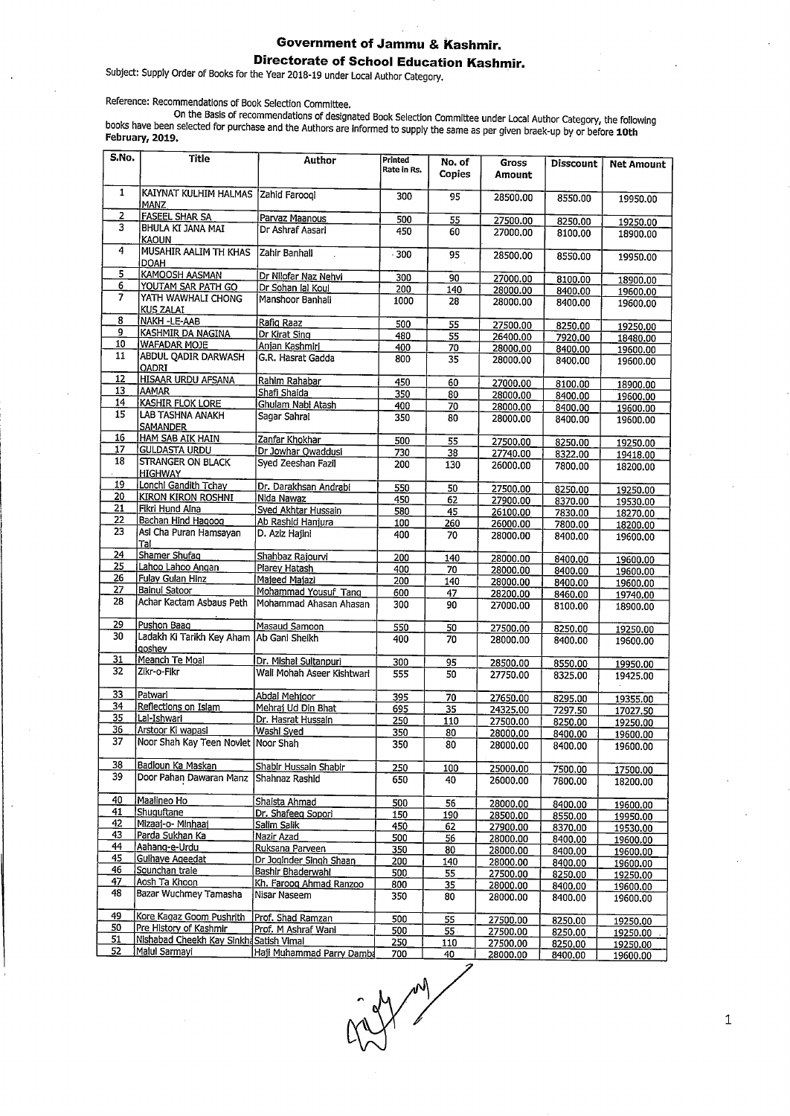## **Government of Jammu & Kashmir. Directorate of School Education Kashmir.**

Subject: Supply Order of Books for the Year 2018-19 under Local Author Category.

Reference: Recommendations of Book Selection Committee.

On the Basis of recommendations of designated Book Selection Committee under Local Author Category, the following books have been selected for purchase and the Authors are Informed to supply the same as per given braek-up by or before **10th February, 2019.** 

| S.No.           | Title                                               | Author                     | Printed<br>Rate in Rs. | No. of<br><b>Copies</b> | Gross<br>Amount | Disscount | <b>Net Amount</b> |
|-----------------|-----------------------------------------------------|----------------------------|------------------------|-------------------------|-----------------|-----------|-------------------|
| 1               | KAIYNAT KULHIM HALMAS<br>MANZ                       | Zahid Faroogi              | 300                    | 95                      | 28500.00        | 8550.00   | 19950.00          |
| 2               | <b>FASEEL SHAR SA</b>                               | Parvaz Maanous             | 500                    | 55                      | 27500.00        | 8250.00   | 19250.00          |
| 3               | BHULA KI JANA MAI<br>KAOUN                          | Dr Ashraf Aasari           | 450                    | 60                      | 27000,00        | 8100.00   | 18900.00          |
| 4               | MUSAHIR AALIM TH KHAS<br>DOAH                       | Zahir Banhali              | $-300$                 | 95                      | 28500.00        | 8550.00   | 19950.00          |
| 5               | KAMOOSH AASMAN                                      | Dr Nilofar Naz Nehvi       | 300                    | 90                      | 27000.00        | 8100.00   | 18900.00          |
| 6               | YOUTAM SAR PATH GO                                  | Dr Sohan lal Koul          | 200                    | 140                     | 28000.00        | 8400.00   | 19600.00          |
| 7               | YATH WAWHALI CHONG<br><b>KUS ZALAI</b>              | Manshoor Banhali           | 1000                   | 28                      | 28000.00        | 8400.00   | 19600.00          |
| 8               | NAKH-LE-AAB                                         | Rafig Raaz                 | 500                    | 55                      | 27500.00        | 8250.00   | 19250.00          |
| 9               | KASHMIR DA NAGINA                                   | Dr Kirat Sing              | 480                    | 55                      | 26400.00        | 7920.00   | 18480.00          |
| 10              | <b>WAFADAR MOJE</b>                                 | Anjan Kashmiri             | 400                    | 70                      | 28000.00        | 8400.00   | 19600.00          |
| 11              | ABDUL QADIR DARWASH<br>OADRI                        | G.R. Hasrat Gadda          | 800                    | 35                      | 28000.00        | 8400.00   | 19600.00          |
| 12              | <b>HISAAR URDU AFSANA</b>                           | Rahim Rahabar              | 450                    | 60                      | 27000.00        | 8100.00   | 18900.00          |
| 13              | AAMAR                                               | Shafi Shaida               | 350                    | 80                      | 28000.00        | 8400.00   | 19600.00          |
| 14              | <b>KASHIR FLOK LORE</b>                             | Ghulam Nabi Atash          | 400                    | 70                      | 28000.00        | 8400.00   | 19600.00          |
| 15              | <b>LAB TASHNA ANAKH</b><br><b>SAMANDER</b>          | Sagar Sahrai               | 350                    | 80                      | 28000.00        | 8400.00   | 19600.00          |
| 16              | HAM SAB AIK HAIN                                    | Zanfar Khokhar             | 500                    | 55                      | 27500.00        | 8250.00   | 19250.00          |
| 17              | <b>GULDASTA URDU</b>                                | Dr Jowhar Owaddusi         | 730                    | 38                      | 27740.00        | 8322.00   | 19418.00          |
| 18              | <b>STRANGER ON BLACK</b><br><b>HIGHWAY</b>          | Syed Zeeshan Fazil         | 200                    | 130                     | 26000.00        | 7800.00   | 18200.00          |
| 19              | Lonchi Gandith Tchay                                | Dr. Darakhsan Andrabi      | 550                    | 50                      | 27500.00        | 8250.00   | 19250.00          |
| 20              | <b>KIRON KIRON ROSHNI</b>                           | Nida Nawaz                 | 450                    | 62                      | 27900.00        | 8370.00   | 19530.00          |
| 21              | Fikri Hund Aina                                     | Syed Akhtar Hussain        | 580                    | 45                      | 26100.00        | 7830.00   | 18270.00          |
| 22              | Bachan Hind Hagoog                                  | Ab Rashid Hanjura          | 100                    | 260                     | 26000.00        | 7800.00   | 18200.00          |
| 23              | Asi Cha Puran Hamsayan<br>Tal                       | D. Aziz Hajini             | 400                    | 70                      | 28000.00        | 8400.00   | 19600.00          |
| $\overline{24}$ | Shamer Shufaq                                       | Shahbaz Rajourvi           | 200                    | 140                     | 28000.00        | 8400.00   | 19600.00          |
| 25              | Lahoo Lahoo Angan                                   | Plarey Hatash              | 400                    | 70                      | 28000.00        | 8400.00   | 19600.00          |
| 26              | Fulay Gulan Hinz                                    | Majeed Majazi              | 200                    | 140                     | 28000.00        | 8400.00   | 19600.00          |
| 27              | Bainul Satoor                                       | Mohammad Yousuf Tang       | 600                    | 47                      | 28200.00        | 8460.00   | 19740.00          |
| 28              | Achar Kactam Asbaus Peth                            | Mohammad Ahasan Ahasan     | 300                    | 90                      | 27000.00        | 8100.00   | 18900.00          |
| 29              | Pushon Baag                                         | Masaud Samoon              | 550                    | 50                      | 27500.00        | 8250.00   | 19250.00          |
| 30              | Ladakh Ki Tarikh Key Aham Ab Gani Sheikh<br>laoshev |                            | 400                    | 70                      | 28000.00        | 8400.00   | 19600.00          |
| 31              | Meanch Te Moal                                      | Dr. Mishal Sultanpuri      | 300                    | 95                      | 28500.00        | 8550.00   | 19950.00          |
| 32              | Zikr-o-Fikr                                         | Wali Mohah Aseer Kishtwari | 555                    | 50                      | 27750.00        | 8325.00   | 19425.00          |
| 33              | Patwari                                             | Abdal Mehjoor              | 395                    | 70                      | 27650.00        | 8295.00   | 19355.00          |
| 34              | Reflections on Islam                                | Mehrai Ud Din Bhat         | 695                    | 35                      | 24325.00        | 7297.50   | 17027.50          |
| 35              | Lal-Ishwari                                         | Dr. Hasrat Hussain         | 250                    | 110                     | 27500.00        | 8250.00   | 19250.00          |
| 36              | Arstoor Ki wapasi                                   | Washi Syed                 | 350                    | 80                      | 28000.00        | 8400.00   | 19600.00          |
| 37              | Noor Shah Kay Teen Novlet Noor Shah                 |                            | 350                    | 80                      | 28000.00        | 8400.00   | 19600.00          |
| 38              | Badloun Ka Maskan                                   | Shabir Hussain Shabir      | 250                    | 100                     | 25000.00        | 7500.00   | 17500.00          |
| 39              | Door Pahan Dawaran Manz                             | Shahnaz Rashid             | 650                    | 40                      | 26000.00        | 7800.00   | 18200.00          |
| 40              | Maalineo Ho                                         | Shaista Ahmad              | 500                    | 56                      | 28000.00        | 8400.00   | 19600.00          |
| 41              | Shuguftane                                          | Dr. Shafeeg Sopori         | 150                    | 190                     | 28500.00        | 8550.00   | 19950.00          |
| 42              | Mizaaj-o- Minhaaj                                   | Salim Salik                | 450                    | 62                      | 27900.00        | 8370.00   | 19530.00          |
| 43              | Parda Sukhan Ka                                     | Nazir Azad                 | 500                    | 56                      | 28000.00        | 8400.00   | 19600.00          |
| 44              | Aahang-e-Urdu                                       | Ruksana Parveen            | 350                    | 80                      | 28000.00        | 8400.00   | 19600.00          |
| 45              | Gulhaye Ageedat                                     | Dr Joginder Singh Shaan    | 200                    | 140                     | 28000.00        | 8400.00   | 19600.00          |
| 46              | Sounchan traie                                      | Bashir Bhaderwahi          | 500                    | <u>55</u>               | 27500.00        | 8250.00   | 19250.00          |
| 47              | Aosh Ta Khoon                                       | Kh. Faroog Ahmad Ranzoo    | 800                    | 35                      | 28000.00        | 8400.00   | 19600.00          |
| 48              | Bazar Wuchmey Tamasha                               | Nisar Naseem               | 350                    | 80                      | 28000.00        | 8400.00   | 19600.00          |
| 49              | Kore Kagaz Goom Pushrith                            | Prof. Shad Ramzan          | 500                    | 55                      | 27500.00        | 8250.00   | 19250.00          |
| 50              | Pre History of Kashmir                              | Prof. M Ashraf Wani        | 500                    | $55 -$                  | 27500.00        | 8250.00   | 19250.00          |
| 51              | Nishabad Cheekh Kay Sinkha Satish Vimal             |                            | 250                    | 110                     | 27500.00        | 8250.00   | 19250.00          |
| 52              | Malul Sarmayi                                       | Haji Muhammad Parry Damba  | 700                    | 40                      | 28000.00        | 8400.00   | 19600.00          |

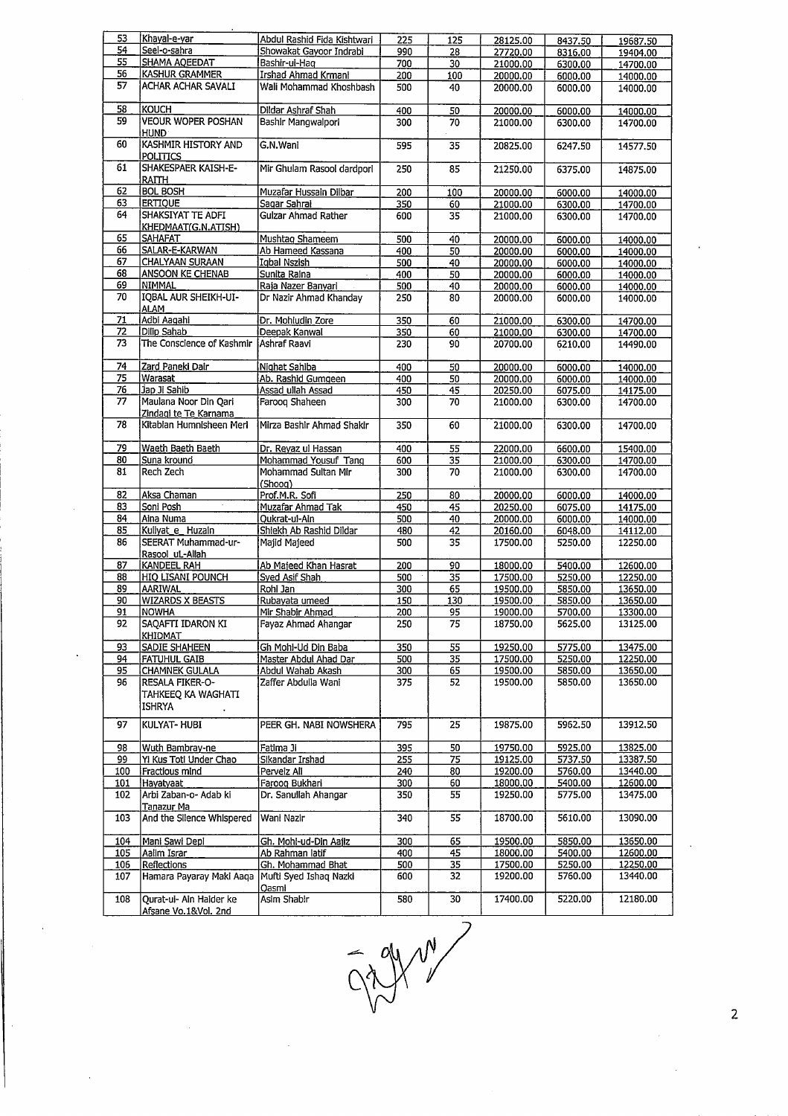| 53  | Khayal-e-yar              | Abdul Rashid Fida Kishtwari | 225 | 125 | 28125.00 | 8437.50 | 19687.50 |
|-----|---------------------------|-----------------------------|-----|-----|----------|---------|----------|
| 54  | Seel-o-sahra              | Showakat Gayoor Indrabi     |     |     |          |         |          |
|     |                           |                             | 990 | 28  | 27720.00 | 8316.00 | 19404.00 |
| 55  | SHAMA AQEEDAT             | Bashir-ui-Haq               | 700 | 30  | 21000.00 | 6300.00 | 14700.00 |
| 56  | <b>KASHUR GRAMMER</b>     | Irshad Ahmad Krmani         | 200 | 100 | 20000.00 | 6000.00 | 14000.00 |
| 57  | ACHAR ACHAR SAVALI        | Wali Mohammad Khoshbash     | 500 | 40  | 20000.00 | 6000.00 | 14000.00 |
|     |                           |                             |     |     |          |         |          |
| 58  | KOUCH                     | Dildar Ashraf Shah          | 400 | 50  | 20000.00 | 6000.00 | 14000.00 |
| 59  | VEOUR WOPER POSHAN        |                             |     |     |          |         |          |
|     |                           | Bashir Mangwalpori          | 300 | 70  | 21000.00 | 6300.00 | 14700.00 |
|     | <b>HUND</b>               |                             |     |     |          |         |          |
| 60  | KASHMIR HISTORY AND       | G.N.Wani                    | 595 | 35  | 20825.00 | 6247.50 | 14577.50 |
|     | <b>POLITICS</b>           |                             |     |     |          |         |          |
| 61  | SHAKESPAER KAISH-E-       | Mir Ghulam Rasool dardpori  | 250 | 85  | 21250.00 | 6375.00 | 14875.00 |
|     | RAITH                     |                             |     |     |          |         |          |
| 62  | <b>BOL BOSH</b>           | Muzafar Hussain Dilbar      | 200 | 100 | 20000.00 |         |          |
|     |                           |                             |     |     |          | 6000.00 | 14000.00 |
| 63  | <b>ERTIQUE</b>            | Sagar Sahrai                | 350 | 60  | 21000.00 | 6300.00 | 14700.00 |
| 64  | SHAKSIYAT TE ADFI         | <b>Gulzar Ahmad Rather</b>  | 600 | 35  | 21000.00 | 6300.00 | 14700.00 |
|     | KHEDMAAT(G.N.ATISH)       |                             |     |     |          |         |          |
| 65  | <b>SAHAFAT</b>            | Mushtaq Shameem             | 500 | 40  | 20000.00 | 6000.00 | 14000.00 |
| 66  | SALAR-E-KARWAN            | Ab Hameed Kassana           | 400 | 50  | 20000.00 | 6000.00 | 14000.00 |
| 67  | CHALYAAN SURAAN           | Igbal Nszish                | 500 | 40  | 20000.00 | 6000.00 | 14000.00 |
| 68  |                           |                             |     |     |          |         |          |
|     | ANSOON KE CHENAB          | Sunita Raina                | 400 | 50  | 20000.00 | 6000.00 | 14000.00 |
| 69  | NIMMAL                    | Raja Nazer Banyari          | 500 | 40  | 20000.00 | 6000.00 | 14000.00 |
| 70  | IQBAL AUR SHEIKH-UI-      | Dr Nazir Ahmad Khanday      | 250 | 80  | 20000.00 | 6000.00 | 14000.00 |
|     | <b>ALAM</b>               |                             |     |     |          |         |          |
| 71  | Adbi Aaqahi               | Dr. Mohludin Zore           | 350 | 60  | 21000.00 | 6300.00 | 14700.00 |
| 72  | Dilip Sahab               | Deepak Kanwal               | 350 | 60  | 21000.00 | 6300.00 | 14700.00 |
| 73  | The Conscience of Kashmir | Ashraf Raavi                | 230 | 90  |          |         |          |
|     |                           |                             |     |     | 20700.00 | 6210.00 | 14490.00 |
|     |                           |                             |     |     |          |         |          |
| 74  | Zard Paneki Dair          | Nighat Sahiba               | 400 | 50  | 20000.00 | 6000.00 | 14000.00 |
| 75  | Warasat                   | Ab. Rashid Gumgeen          | 400 | 50  | 20000.00 | 6000.00 | 14000.00 |
| 76  | Jap Ji Sahib              | Assad ullah Assad           | 450 | 45  | 20250.00 | 6075.00 | 14175.00 |
| 77  | Maulana Noor Din Qari     | Faroog Shaheen              | 300 | 70  | 21000.00 | 6300.00 | 14700.00 |
|     | Zindagi te Te Karnama     |                             |     |     |          |         |          |
|     |                           |                             |     |     |          |         |          |
| 78  | Kitabian Humnisheen Meri  | Mirza Bashir Ahmad Shakir   | 350 | 60  | 21000.00 | 6300.00 | 14700.00 |
|     |                           |                             |     |     |          |         |          |
| 79  | Waeth Baeth Baeth         | Dr. Reyaz ul Hassan         | 400 | 55  | 22000,00 | 6600.00 | 15400.00 |
| 80  | Suna kround               | Mohammad Yousuf Tang        | 600 | 35  | 21000.00 | 6300.00 | 14700.00 |
| 81  | Rech Zech                 | Mohammad Sultan Mir         | 300 | 70  | 21000.00 | 6300.00 | 14700.00 |
|     |                           | (Shoog)                     |     |     |          |         |          |
|     | Aksa Chaman               | Prof.M.R. Sofi              |     |     |          |         |          |
| 82  |                           |                             | 250 | 80  | 20000.00 | 6000.00 | 14000.00 |
| 83  | Soni Posh                 | Muzafar Ahmad Tak           | 450 | 45  | 20250.00 | 6075.00 | 14175.00 |
| 84  | Aina Numa                 | Oukrat-ul-Ain               | 500 | 40  | 20000.00 | 6000.00 | 14000.00 |
| 85  | Kuliyat_e_Huzain          | Shiekh Ab Rashid Dildar     | 480 | 42  | 20160.00 | 6048.00 | 14112.00 |
| 86  | SEERAT Muhammad-ur-       | Majid Majeed                | 500 | 35  | 17500.00 | 5250.00 | 12250.00 |
|     | Rasool uL-Allah           |                             |     |     |          |         |          |
|     |                           |                             |     |     |          |         |          |
| 87  | KANDEEL RAH               | Ab Majeed Khan Hasrat       | 200 | 90  | 18000.00 | 5400.00 | 12600.00 |
| 88  | <b>HIQ LISANI POUNCH</b>  | Syed Asif Shah              | 500 | 35  | 17500.00 | 5250.00 | 12250.00 |
| 89  | AARIWAL                   | Rohi Jan                    | 300 | 65  | 19500.00 | 5850.00 | 13650.00 |
| 90  | <b>WIZARDS X BEASTS</b>   | Rubayata umeed              | 150 | 130 | 19500.00 | 5850.00 | 13650.00 |
| 91  | <b>NOWHA</b>              | Mir Shabir Ahmad            | 200 | 95  | 19000.00 | 5700.00 | 13300.00 |
| 92  | SAQAFTI IDARON KI         | Fayaz Ahmad Ahangar         | 250 | 75  | 18750.00 | 5625.00 | 13125.00 |
|     |                           |                             |     |     |          |         |          |
|     | KHIDMAT                   |                             |     |     |          |         |          |
| 93  | SADIE SHAHEEN             | Gh Mohi-Ud Din Baba         | 350 | 55  | 19250.00 | 5775.00 | 13475.00 |
| 94  | <b>FATUHUL GAIB</b>       | Master Abdul Ahad Dar       | 500 | 35  | 17500.00 | 5250.00 | 12250.00 |
| 95  | CHAMNEK GULALA            | Abdul Wahab Akash           | 300 | 65  | 19500.00 | 5850.00 | 13650.00 |
| 96  | RESALA FIKER-O-           | Zaffer Abdulla Wani         | 375 | 52  | 19500.00 | 5850.00 | 13650.00 |
|     | TAHKEEQ KA WAGHATI        |                             |     |     |          |         |          |
|     |                           |                             |     |     |          |         |          |
|     | ISHRYA                    |                             |     |     |          |         |          |
| 97  | KULYAT- HUBI              | PEER GH. NABI NOWSHERA      | 795 | 25  | 19875.00 | 5962.50 | 13912.50 |
|     |                           |                             |     |     |          |         |          |
|     |                           |                             |     |     |          |         |          |
| 98  | Wuth Bambray-ne           | Fatima Ji                   | 395 | 50  | 19750.00 | 5925.00 | 13825.00 |
| 99  | Yi Kus Toti Under Chao    | Sikandar Irshad             | 255 | 75  | 19125.00 | 5737.50 | 13387.50 |
| 100 | Fractious mind            | Perveiz All                 | 240 | 80  | 19200.00 | 5760.00 | 13440.00 |
| 101 | Hayatyaat                 | Farooq Bukhari              | 300 | 60  | 18000.00 | 5400.00 | 12600.00 |
| 102 | Arbi Zaban-o- Adab ki     | Dr. Sanullah Ahangar        | 350 | 55  | 19250.00 | 5775.00 | 13475.00 |
|     | Tanazur Ma                |                             |     |     |          |         |          |
|     |                           |                             |     |     |          |         |          |
| 103 | And the Silence Whispered | Wani Nazir                  | 340 | 55  | 18700.00 | 5610.00 | 13090.00 |
|     |                           |                             |     |     |          |         |          |
| 104 | Mani Sawi Depi            | Gh. Mohi-ud-Din Aajiz       | 300 | 65  | 19500.00 | 5850.00 | 13650.00 |
| 105 | Aalim Israr               | Ab Rahman latif             | 400 | 45  | 18000.00 | 5400.00 | 12600.00 |
| 106 | Reflections               | Gh. Mohammad Bhat           | 500 | 35  | 17500.00 | 5250.00 | 12250.00 |
| 107 | Hamara Payaray Maki Aaqa  | Mufti Syed Ishaq Nazki      | 600 | 32  | 19200.00 | 5760.00 | 13440.00 |
|     |                           |                             |     |     |          |         |          |
|     |                           | Oasmi                       |     |     |          |         |          |
| 108 | Qurat-ui- Ain Haider ke   | Asim Shabir                 | 580 | 30  | 17400.00 | 5220.00 | 12180.00 |
|     | Afsane Vo.1&Vol. 2nd      |                             |     |     |          |         |          |

 $\ddot{\phantom{0}}$ 

2